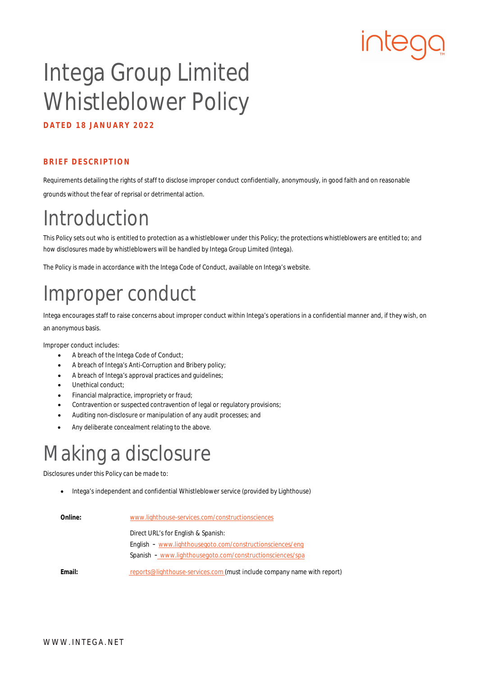# **IUred**

## Intega Group Limited Whistleblower Policy

**DATED 18 JANUARY 2022**

#### **BRIEF DESCRIPTION**

Requirements detailing the rights of staff to disclose improper conduct confidentially, anonymously, in good faith and on reasonable grounds without the fear of reprisal or detrimental action.

#### Introduction

This Policy sets out who is entitled to protection as a whistleblower under this Policy; the protections whistleblowers are entitled to; and how disclosures made by whistleblowers will be handled by Intega Group Limited (Intega).

The Policy is made in accordance with the Intega Code of Conduct, available on Intega's website.

#### Improper conduct

Intega encourages staff to raise concerns about improper conduct within Intega's operations in a confidential manner and, if they wish, on an anonymous basis.

Improper conduct includes:

- A breach of the Intega Code of Conduct;
- A breach of Intega's Anti-Corruption and Bribery policy;
- A breach of Intega's approval practices and guidelines;
- Unethical conduct;
- Financial malpractice, impropriety or fraud;
- Contravention or suspected contravention of legal or regulatory provisions;
- Auditing non-disclosure or manipulation of any audit processes; and
- Any deliberate concealment relating to the above.

#### Making a disclosure

Disclosures under this Policy can be made to:

Intega's independent and confidential Whistleblower service (provided by Lighthouse)

| Online: | www.lighthouse-services.com/constructionsciences                        |
|---------|-------------------------------------------------------------------------|
|         | Direct URL's for English & Spanish:                                     |
|         | English - www.lighthousegoto.com/constructionsciences/eng               |
|         | Spanish - www.lighthousegoto.com/constructionsciences/spa               |
| Email:  | reports@lighthouse-services.com (must include company name with report) |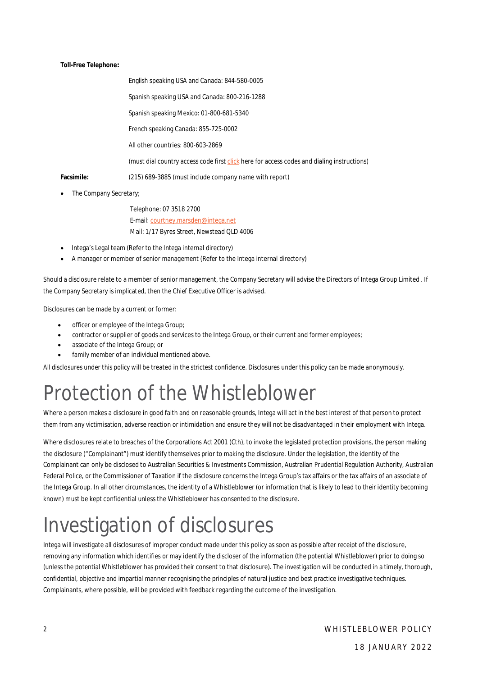**Toll-Free Telephone:**

English speaking USA and Canada: 844-580-0005 Spanish speaking USA and Canada: 800-216-1288 Spanish speaking Mexico: 01-800-681-5340 French speaking Canada: 855-725-0002 All other countries: 800-603-2869 (must dial country access code first [click here f](https://www.lighthouse-services.com/documentlink/International%20Toll-free%20Hotline%20Access%20Instructions.pdf)or access codes and dialing instructions) **Facsimile:** (215) 689-3885 (must include company name with report)

• The Company Secretary;

Telephone: 07 3518 2700 E-mail: [courtney.marsden@intega.net](mailto:courtney.marsden@intega.net) Mail: 1/17 Byres Street, Newstead QLD 4006

- Intega's Legal team (Refer to the Intega internal directory)
- A manager or member of senior management (Refer to the Intega internal directory)

Should a disclosure relate to a member of senior management, the Company Secretary will advise the Directors of Intega Group Limited . If the Company Secretary is implicated, then the Chief Executive Officer is advised.

Disclosures can be made by a current or former:

- officer or employee of the Intega Group;
- contractor or supplier of goods and services to the Intega Group, or their current and former employees;
- associate of the Intega Group; or
- family member of an individual mentioned above.

All disclosures under this policy will be treated in the strictest confidence. Disclosures under this policy can be made anonymously.

#### Protection of the Whistleblower

Where a person makes a disclosure in good faith and on reasonable grounds, Intega will act in the best interest of that person to protect them from any victimisation, adverse reaction or intimidation and ensure they will not be disadvantaged in their employment with Intega.

Where disclosures relate to breaches of the Corporations Act 2001 (Cth), to invoke the legislated protection provisions, the person making the disclosure ("Complainant") must identify themselves prior to making the disclosure. Under the legislation, the identity of the Complainant can only be disclosed to Australian Securities & Investments Commission, Australian Prudential Regulation Authority, Australian Federal Police, or the Commissioner of Taxation if the disclosure concerns the Intega Group's tax affairs or the tax affairs of an associate of the Intega Group. In all other circumstances, the identity of a Whistleblower (or information that is likely to lead to their identity becoming known) must be kept confidential unless the Whistleblower has consented to the disclosure.

#### Investigation of disclosures

Intega will investigate all disclosures of improper conduct made under this policy as soon as possible after receipt of the disclosure, removing any information which identifies or may identify the discloser of the information (the potential Whistleblower) prior to doing so (unless the potential Whistleblower has provided their consent to that disclosure). The investigation will be conducted in a timely, thorough, confidential, objective and impartial manner recognising the principles of natural justice and best practice investigative techniques. Complainants, where possible, will be provided with feedback regarding the outcome of the investigation.